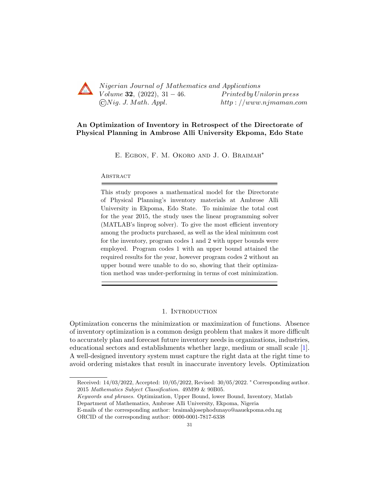

Nigerian Journal of Mathematics and Applications Volume 32,  $(2022)$ , 31 – 46. Printed by Unilorin press  $\bigcirc Nig. J. Math. Appl.$  http://www.njmaman.com

# An Optimization of Inventory in Retrospect of the Directorate of Physical Planning in Ambrose Alli University Ekpoma, Edo State

E. Egbon, F. M. Okoro and J. O. Braimah∗

## **ABSTRACT**

This study proposes a mathematical model for the Directorate of Physical Planning's inventory materials at Ambrose Alli University in Ekpoma, Edo State. To minimize the total cost for the year 2015, the study uses the linear programming solver (MATLAB's linprog solver). To give the most efficient inventory among the products purchased, as well as the ideal minimum cost for the inventory, program codes 1 and 2 with upper bounds were employed. Program codes 1 with an upper bound attained the required results for the year, however program codes 2 without an upper bound were unable to do so, showing that their optimization method was under-performing in terms of cost minimization.

### 1. Introduction

Optimization concerns the minimization or maximization of functions. Absence of inventory optimization is a common design problem that makes it more difficult to accurately plan and forecast future inventory needs in organizations, industries, educational sectors and establishments whether large, medium or small scale [\[1\]](#page-15-0). A well-designed inventory system must capture the right data at the right time to avoid ordering mistakes that result in inaccurate inventory levels. Optimization

Received: 14/03/2022, Accepted: 10/05/2022, Revised: 30/05/2022. <sup>∗</sup> Corresponding author. 2015 Mathematics Subject Classification. 49M99 & 90B05.

Keywords and phrases. Optimization, Upper Bound, lower Bound, Inventory, Matlab

Department of Mathematics, Ambrose Alli University, Ekpoma, Nigeria

E-mails of the corresponding author: braimahjosephodunayo@aauekpoma.edu.ng

ORCID of the corresponding author: 0000-0001-7817-6338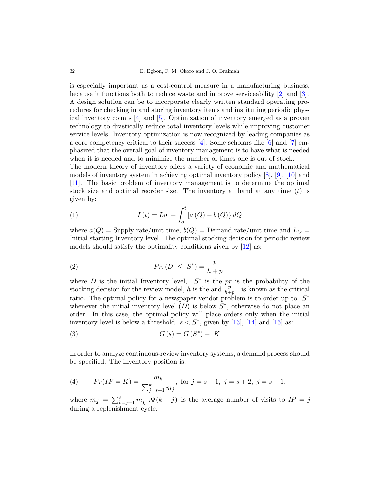is especially important as a cost-control measure in a manufacturing business, because it functions both to reduce waste and improve serviceability [\[2\]](#page-15-1) and [\[3\]](#page-15-2). A design solution can be to incorporate clearly written standard operating procedures for checking in and storing inventory items and instituting periodic physical inventory counts [\[4\]](#page-15-3) and [\[5\]](#page-15-4). Optimization of inventory emerged as a proven technology to drastically reduce total inventory levels while improving customer service levels. Inventory optimization is now recognized by leading companies as a core competency critical to their success  $[4]$ . Some scholars like  $[6]$  and  $[7]$  emphasized that the overall goal of inventory management is to have what is needed when it is needed and to minimize the number of times one is out of stock.

The modern theory of inventory offers a variety of economic and mathematical models of inventory system in achieving optimal inventory policy [\[8\]](#page-15-7), [\[9\]](#page-15-8), [\[10\]](#page-15-9) and [\[11\]](#page-15-10). The basic problem of inventory management is to determine the optimal stock size and optimal reorder size. The inventory at hand at any time  $(t)$  is given by:

(1) 
$$
I(t) = Lo + \int_{o}^{t} [a(Q) - b(Q)] dQ
$$

where  $a(Q)$  = Supply rate/unit time,  $b(Q)$  = Demand rate/unit time and  $L<sub>O</sub>$  = Initial starting Inventory level. The optimal stocking decision for periodic review models should satisfy the optimality conditions given by [\[12\]](#page-15-11) as:

(2) 
$$
Pr.(D \leq S^*) = \frac{p}{h+p}
$$

where  $D$  is the initial Inventory level,  $S^*$  is the pris the probability of the stocking decision for the review model, h is the and  $\frac{p}{h+p}$  is known as the critical ratio. The optimal policy for a newspaper vendor problem is to order up to  $S^*$ whenever the initial inventory level  $(D)$  is below  $S^*$ , otherwise do not place an order. In this case, the optimal policy will place orders only when the initial inventory level is below a threshold  $s < S^*$ , given by [\[13\]](#page-15-12), [\[14\]](#page-15-13) and [\[15\]](#page-15-14) as:

$$
(3) \tG(s) = G(S^*) + K
$$

In order to analyze continuous-review inventory systems, a demand process should be specified. The inventory position is:

(4) 
$$
Pr(IP = K) = \frac{m_k}{\sum_{j=s+1}^{k} m_j}
$$
, for  $j = s + 1$ ,  $j = s + 2$ ,  $j = s - 1$ ,

where  $m_j = \sum_{k=j+1}^{s} m_k \cdot \Psi(k-j)$  is the average number of visits to  $IP = j$ during a replenishment cycle.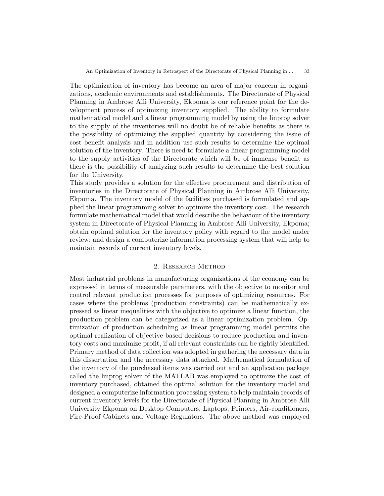The optimization of inventory has become an area of major concern in organizations, academic environments and establishments. The Directorate of Physical Planning in Ambrose Alli University, Ekpoma is our reference point for the development process of optimizing inventory supplied. The ability to formulate mathematical model and a linear programming model by using the linprog solver to the supply of the inventories will no doubt be of reliable benefits as there is the possibility of optimizing the supplied quantity by considering the issue of cost benefit analysis and in addition use such results to determine the optimal solution of the inventory. There is need to formulate a linear programming model to the supply activities of the Directorate which will be of immense benefit as there is the possibility of analyzing such results to determine the best solution for the University.

This study provides a solution for the effective procurement and distribution of inventories in the Directorate of Physical Planning in Ambrose Alli University, Ekpoma. The inventory model of the facilities purchased is formulated and applied the linear programming solver to optimize the inventory cost. The research formulate mathematical model that would describe the behaviour of the inventory system in Directorate of Physical Planning in Ambrose Alli University, Ekpoma; obtain optimal solution for the inventory policy with regard to the model under review; and design a computerize information processing system that will help to maintain records of current inventory levels.

### 2. RESEARCH METHOD

Most industrial problems in manufacturing organizations of the economy can be expressed in terms of measurable parameters, with the objective to monitor and control relevant production processes for purposes of optimizing resources. For cases where the problems (production constraints) can be mathematically expressed as linear inequalities with the objective to optimize a linear function, the production problem can be categorized as a linear optimization problem. Optimization of production scheduling as linear programming model permits the optimal realization of objective based decisions to reduce production and inventory costs and maximize profit, if all relevant constraints can be rightly identified. Primary method of data collection was adopted in gathering the necessary data in this dissertation and the necessary data attached. Mathematical formulation of the inventory of the purchased items was carried out and an application package called the linprog solver of the MATLAB was employed to optimize the cost of inventory purchased, obtained the optimal solution for the inventory model and designed a computerize information processing system to help maintain records of current inventory levels for the Directorate of Physical Planning in Ambrose Alli University Ekpoma on Desktop Computers, Laptops, Printers, Air-conditioners, Fire-Proof Cabinets and Voltage Regulators. The above method was employed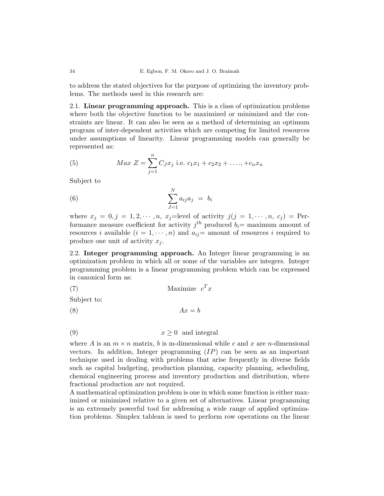to address the stated objectives for the purpose of optimizing the inventory problems. The methods used in this research are:

2.1. Linear programming approach. This is a class of optimization problems where both the objective function to be maximized or minimized and the constraints are linear. It can also be seen as a method of determining an optimum program of inter-dependent activities which are competing for limited resources under assumptions of linearity. Linear programming models can generally be represented as:

(5) 
$$
Max Z = \sum_{j=1}^{n} C_{J}x_{j} \text{ i.e. } c_{1}x_{1} + c_{2}x_{2} + \ldots + c_{n}x_{n}
$$

Subject to

$$
\sum_{J=1}^{N} a_{ij} a_j = b_i
$$

where  $x_j = 0, j = 1, 2, \dots, n$ ,  $x_j$ =level of activity  $j(j = 1, \dots, n, c_j)$  = Performance measure coefficient for activity  $j^{th}$  produced  $b_i=$  maximum amount of resources i available  $(i = 1, \dots, n)$  and  $a_{ij}$  = amount of resources i required to produce one unit of activity  $x_j$ .

2.2. Integer programming approach. An Integer linear programming is an optimization problem in which all or some of the variables are integers. Integer programming problem is a linear programming problem which can be expressed in canonical form as:

$$
(7) \t\t Maximize  $c^T x$
$$

Subject to:

$$
(8) \t\t Ax = b
$$

$$
(9) \t\t x \ge 0 \t and integral
$$

where A is an  $m \times n$  matrix, b is m-dimensional while c and x are n-dimensional vectors. In addition, Integer programming  $(IP)$  can be seen as an important technique used in dealing with problems that arise frequently in diverse fields such as capital budgeting, production planning, capacity planning, scheduling, chemical engineering process and inventory production and distribution, where fractional production are not required.

A mathematical optimization problem is one in which some function is either maximized or minimized relative to a given set of alternatives. Linear programming is an extremely powerful tool for addressing a wide range of applied optimization problems. Simplex tableau is used to perform row operations on the linear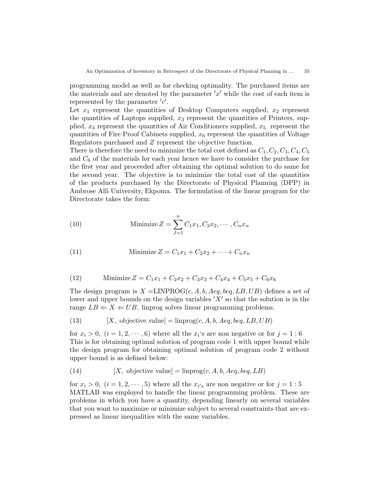programming model as well as for checking optimality. The purchased items are the materials and are denoted by the parameter  $x'$  while the cost of each item is represented by the parameter  $'c'$ .

Let  $x_1$  represent the quantities of Desktop Computers supplied,  $x_2$  represent the quantities of Laptops supplied,  $x_3$  represent the quantities of Printers, supplied,  $x_4$  represent the quantities of Air Conditioners supplied,  $x_5$  represent the quantities of Fire Proof Cabinets supplied,  $x_6$  represent the quantities of Voltage Regulators purchased and Z represent the objective function.

There is therefore the need to minimize the total cost defined as  $C_1, C_2, C_3, C_4, C_5$ and  $C_6$  of the materials for each year hence we have to consider the purchase for the first year and proceeded after obtaining the optimal solution to do same for the second year. The objective is to minimize the total cost of the quantities of the products purchased by the Directorate of Physical Planning (DPP) in Ambrose Alli University, Ekpoma. The formulation of the linear program for the Directorate takes the form:

(10) Minimize 
$$
Z = \sum_{J=1}^{n} C_1 x_1, C_2 x_2, \cdots, C_n x_n
$$

<span id="page-4-0"></span>(11) Minimize 
$$
Z = C_1 x_1 + C_2 x_2 + \dots + C_n x_n
$$

(12) Minimize 
$$
Z = C_1x_1 + C_2x_2 + C_3x_3 + C_4x_4 + C_5x_5 + C_6x_6
$$

The design program is  $X = \text{LINPROG}(c, A, b, Aeg, beq, LB, UB)$  defines a set of lower and upper bounds on the design variables  $'X'$  so that the solution is in the range  $LB \Leftarrow X \Leftarrow UB$ . linprog solves linear programming problems.

<span id="page-4-1"></span>(13) 
$$
[X, \text{ objective value}] = \text{linprog}(c, A, b, Aeq, beq, LB, UB)
$$

for  $x_i > 0$ ,  $(i = 1, 2, \dots, 6)$  where all the  $x_i$ 's are non negative or for  $j = 1: 6$ This is for obtaining optimal solution of program code 1 with upper bound while the design program for obtaining optimal solution of program code 2 without upper bound is as defined below:

(14) 
$$
[X, \text{ objective value}] = \text{linprog}(c, A, b, Aeq, beq, LB)
$$

for  $x_i > 0$ ,  $(i = 1, 2, \dots, 5)$  where all the  $x_{i's}$  are non negative or for  $j = 1: 5$ MATLAB was employed to handle the linear programming problem. These are problems in which you have a quantity, depending linearly on several variables that you want to maximize or minimize subject to several constraints that are expressed as linear inequalities with the same variables.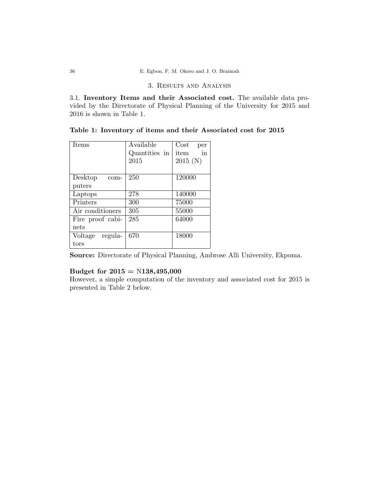## 3. Results and Analysis

3.1. Inventory Items and their Associated cost. The available data provided by the Directorate of Physical Planning of the University for 2015 and 2016 is shown in Table 1.

| Items            | Available     | $\rm Cost$<br>per |
|------------------|---------------|-------------------|
|                  | Quantities in | in<br>item        |
|                  | 2015          | 2015(N)           |
|                  |               |                   |
| Desktop<br>com-  | 250           | 120000            |
| puters           |               |                   |
| Laptops          | 278           | 140000            |
| Printers         | 300           | 75000             |
| Air conditioners | 305           | 55000             |
| Fire proof cabi- | 285           | 64000             |
| nets             |               |                   |
| Voltage regula-  | 670           | 18000             |
| tors             |               |                   |

Table 1: Inventory of items and their Associated cost for 2015

Source: Directorate of Physical Planning, Ambrose Alli University, Ekpoma.

## Budget for  $2015 = N138,495,000$

However, a simple computation of the inventory and associated cost for 2015 is presented in Table 2 below.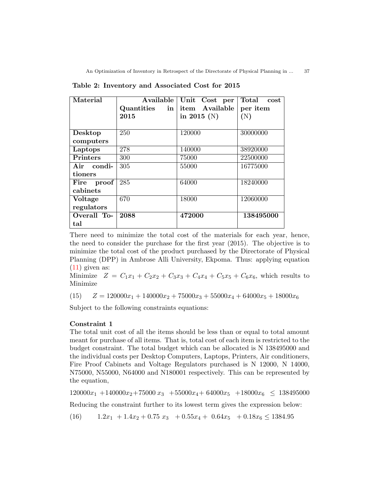An Optimization of Inventory in Retrospect of the Directorate of Physical Planning in ... 37

| Material                                          | Available<br>Quantities<br>in<br>2015 | Unit Cost per<br>item Available<br>in 2015 (N) | Total<br>cost<br>per item<br>(N) |
|---------------------------------------------------|---------------------------------------|------------------------------------------------|----------------------------------|
| Desktop<br>computers                              | 250                                   | 120000                                         | 30000000                         |
| Laptops                                           | 278                                   | 140000                                         | 38920000                         |
| <b>Printers</b>                                   | 300                                   | 75000                                          | 22500000                         |
| Air condi-<br>tioners                             | 305                                   | 55000                                          | 16775000                         |
| $\boldsymbol{\mathrm{proof}}$<br>Fire<br>cabinets | 285                                   | 64000                                          | 18240000                         |
| <b>Voltage</b><br>regulators                      | 670                                   | 18000                                          | 12060000                         |
| Overall To-<br>tal                                | 2088                                  | 472000                                         | 138495000                        |

Table 2: Inventory and Associated Cost for 2015

There need to minimize the total cost of the materials for each year, hence, the need to consider the purchase for the first year (2015). The objective is to minimize the total cost of the product purchased by the Directorate of Physical Planning (DPP) in Ambrose Alli University, Ekpoma. Thus: applying equation  $(11)$  given as:

Minimize  $Z = C_1x_1 + C_2x_2 + C_3x_3 + C_4x_4 + C_5x_5 + C_6x_6$ , which results to Minimize

(15)  $Z = 120000x_1 + 140000x_2 + 75000x_3 + 55000x_4 + 64000x_5 + 18000x_6$ 

Subject to the following constraints equations:

### Constraint 1

The total unit cost of all the items should be less than or equal to total amount meant for purchase of all items. That is, total cost of each item is restricted to the budget constraint. The total budget which can be allocated is N 138495000 and the individual costs per Desktop Computers, Laptops, Printers, Air conditioners, Fire Proof Cabinets and Voltage Regulators purchased is N 12000, N 14000, N75000, N55000, N64000 and N180001 respectively. This can be represented by the equation,

 $120000x_1 +140000x_2 +75000x_3 +55000x_4 +64000x_5 +18000x_6 \le 138495000$ 

Reducing the constraint further to its lowest term gives the expression below:

(16)  $1.2x_1 + 1.4x_2 + 0.75 x_3 + 0.55x_4 + 0.64x_5 + 0.18x_6 \le 1384.95$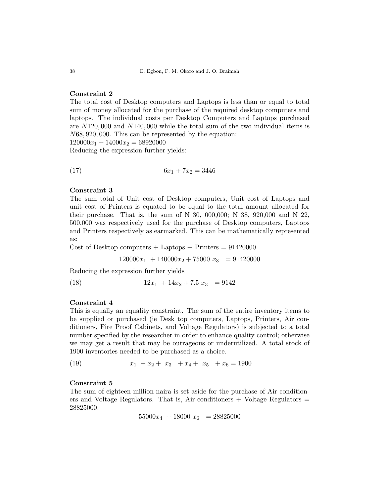## Constraint 2

The total cost of Desktop computers and Laptops is less than or equal to total sum of money allocated for the purchase of the required desktop computers and laptops. The individual costs per Desktop Computers and Laptops purchased are N120, 000 and N140, 000 while the total sum of the two individual items is N68, 920, 000. This can be represented by the equation:  $120000x_1 + 14000x_2 = 68920000$ 

Reducing the expression further yields:

$$
(17) \t\t 6x_1 + 7x_2 = 3446
$$

### Constraint 3

The sum total of Unit cost of Desktop computers, Unit cost of Laptops and unit cost of Printers is equated to be equal to the total amount allocated for their purchase. That is, the sum of N 30, 000,000; N 38, 920,000 and N 22, 500,000 was respectively used for the purchase of Desktop computers, Laptops and Printers respectively as earmarked. This can be mathematically represented as:

Cost of Desktop computers  $+$  Laptops  $+$  Printers  $= 91420000$ 

 $120000x_1 + 140000x_2 + 75000x_3 = 91420000$ 

Reducing the expression further yields

(18)  $12x_1 + 14x_2 + 7.5 x_3 = 9142$ 

## Constraint 4

This is equally an equality constraint. The sum of the entire inventory items to be supplied or purchased (ie Desk top computers, Laptops, Printers, Air conditioners, Fire Proof Cabinets, and Voltage Regulators) is subjected to a total number specified by the researcher in order to enhance quality control; otherwise we may get a result that may be outrageous or underutilized. A total stock of 1900 inventories needed to be purchased as a choice.

(19)  $x_1 + x_2 + x_3 + x_4 + x_5 + x_6 = 1900$ 

#### Constraint 5

The sum of eighteen million naira is set aside for the purchase of Air conditioners and Voltage Regulators. That is, Air-conditioners  $+$  Voltage Regulators  $=$ 28825000.

 $55000x_4$  + 18000  $x_6$  = 28825000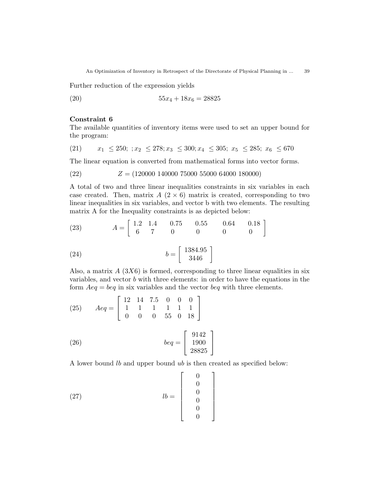An Optimization of Inventory in Retrospect of the Directorate of Physical Planning in ... 39

Further reduction of the expression yields

(20)  $55x_4 + 18x_6 = 28825$ 

## Constraint 6

The available quantities of inventory items were used to set an upper bound for the program:

$$
(21) \qquad x_1 \le 250; \; ; x_2 \le 278; x_3 \le 300; x_4 \le 305; \; x_5 \le 285; \; x_6 \le 670
$$

The linear equation is converted from mathematical forms into vector forms.

$$
(22) \t Z = (120000 \t 140000 \t 75000 \t 55000 \t 64000 \t 180000)
$$

A total of two and three linear inequalities constraints in six variables in each case created. Then, matrix  $A(2\times6)$  matrix is created, corresponding to two linear inequalities in six variables, and vector b with two elements. The resulting matrix A for the Inequality constraints is as depicted below:

(23) 
$$
A = \begin{bmatrix} 1.2 & 1.4 & 0.75 & 0.55 & 0.64 & 0.18 \\ 6 & 7 & 0 & 0 & 0 & 0 \end{bmatrix}
$$

$$
(24) \qquad \qquad b = \left[ \begin{array}{c} 1384.95 \\ 3446 \end{array} \right]
$$

Also, a matrix  $A(3X6)$  is formed, corresponding to three linear equalities in six variables, and vector  $b$  with three elements: in order to have the equations in the form  $A_{eq} = beq$  in six variables and the vector  $beq$  with three elements.

(25) 
$$
Aeq = \begin{bmatrix} 12 & 14 & 7.5 & 0 & 0 & 0 \\ 1 & 1 & 1 & 1 & 1 & 1 \\ 0 & 0 & 0 & 55 & 0 & 18 \end{bmatrix}
$$

(26) 
$$
beq = \begin{bmatrix} 9142 \\ 1900 \\ 28825 \end{bmatrix}
$$

A lower bound lb and upper bound ub is then created as specified below:

1

(27) 
$$
lb = \begin{bmatrix} 0 \\ 0 \\ 0 \\ 0 \\ 0 \\ 0 \end{bmatrix}
$$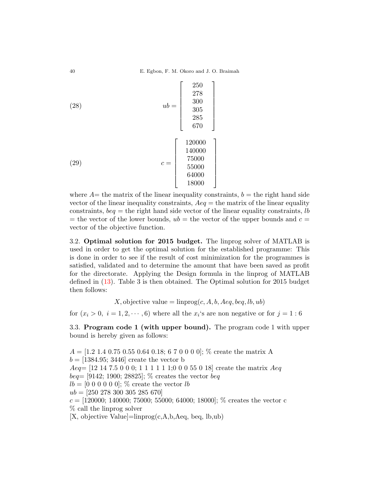(28)  
\n
$$
ub = \begin{bmatrix} 250 \\ 278 \\ 300 \\ 305 \\ 285 \\ 670 \end{bmatrix}
$$
\n(29)  
\n
$$
c = \begin{bmatrix} 120000 \\ 140000 \\ 75000 \\ 55000 \\ 64000 \\ 18000 \end{bmatrix}
$$

where  $A=$  the matrix of the linear inequality constraints,  $b=$  the right hand side vector of the linear inequality constraints,  $Aeq =$  the matrix of the linear equality constraints,  $beq =$  the right hand side vector of the linear equality constraints, lb = the vector of the lower bounds,  $ub =$  the vector of the upper bounds and  $c =$ vector of the objective function.

3.2. Optimal solution for 2015 budget. The linprog solver of MATLAB is used in order to get the optimal solution for the established programme: This is done in order to see if the result of cost minimization for the programmes is satisfied, validated and to determine the amount that have been saved as profit for the directorate. Applying the Design formula in the linprog of MATLAB defined in [\(13\)](#page-4-1). Table 3 is then obtained. The Optimal solution for 2015 budget then follows:

X, objective value =  $\text{limprog}(c, A, b, Aeq, beq, lb, ub)$ 

for  $(x_i > 0, i = 1, 2, \dots, 6)$  where all the  $x_i$ 's are non negative or for  $j = 1: 6$ 

3.3. Program code 1 (with upper bound). The program code 1 with upper bound is hereby given as follows:

 $A = [1.2 \ 1.4 \ 0.75 \ 0.55 \ 0.64 \ 0.18; 6 \ 7 \ 0 \ 0 \ 0 \ 0];$  % create the matrix A  $b = [1384.95; 3446]$  create the vector b  $Aeq=[12\ 14\ 7.5\ 0\ 0\ 0; 1\ 1\ 1\ 1\ 1\ 1; 0\ 0\ 0\ 55\ 0\ 18]$  create the matrix  $Aeq$  $beq = [9142; 1900; 28825];$  % creates the vector  $beq$  $lb = [0 0 0 0 0 0]$ ; % create the vector lb  $ub = [250 278 300 305 285 670]$  $c = [120000; 140000; 75000; 55000; 64000; 18000]; %$  creates the vector c % call the linprog solver  $[X,$  objective Value $]=\text{linprog}(c,A,b,Aeq, beq, lb, ub)$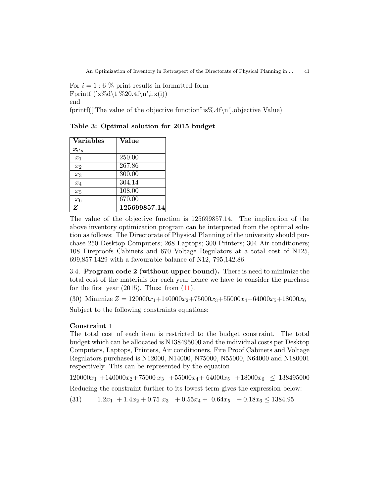An Optimization of Inventory in Retrospect of the Directorate of Physical Planning in ... 41

For  $i = 1:6\%$  print results in formatted form Fprintf  $(\forall x\%d\forall t\%20.4f\in\mathbb{R}, i,x(i))$ end

fprintf(['The value of the objective function" is  $\%$ .4f\n', objective Value)

| <b>Variables</b> | Value        |
|------------------|--------------|
| $\pmb{x}_{i's}$  |              |
| $x_1$            | 250.00       |
| $x_2$            | 267.86       |
| $x_3$            | 300.00       |
| $x_4$            | 304.14       |
| $x_5$            | 108.00       |
| $x_6$            | 670.00       |
| Z                | 125699857.14 |

Table 3: Optimal solution for 2015 budget

The value of the objective function is 125699857.14. The implication of the above inventory optimization program can be interpreted from the optimal solution as follows: The Directorate of Physical Planning of the university should purchase 250 Desktop Computers; 268 Laptops; 300 Printers; 304 Air-conditioners; 108 Fireproofs Cabinets and 670 Voltage Regulators at a total cost of N125, 699,857.1429 with a favourable balance of N12, 795,142.86.

3.4. Program code 2 (without upper bound). There is need to minimize the total cost of the materials for each year hence we have to consider the purchase for the first year  $(2015)$ . Thus: from  $(11)$ .

(30) Minimize  $Z = 120000x_1+140000x_2+75000x_3+55000x_4+64000x_5+18000x_6$ Subject to the following constraints equations:

## Constraint 1

The total cost of each item is restricted to the budget constraint. The total budget which can be allocated is N138495000 and the individual costs per Desktop Computers, Laptops, Printers, Air conditioners, Fire Proof Cabinets and Voltage Regulators purchased is N12000, N14000, N75000, N55000, N64000 and N180001 respectively. This can be represented by the equation

 $120000x_1 + 140000x_2 + 75000x_3 + 55000x_4 + 64000x_5 + 18000x_6 \le 138495000$ 

Reducing the constraint further to its lowest term gives the expression below:

(31)  $1.2x_1 + 1.4x_2 + 0.75 x_3 + 0.55x_4 + 0.64x_5 + 0.18x_6 \le 1384.95$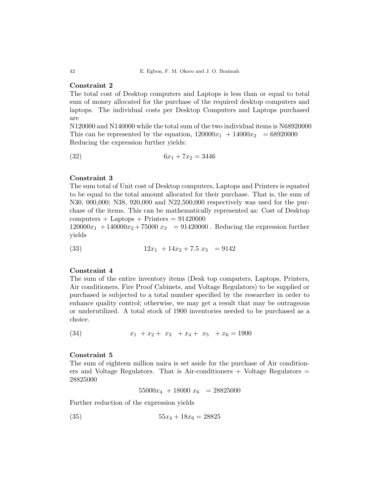## Constraint 2

The total cost of Desktop computers and Laptops is less than or equal to total sum of money allocated for the purchase of the required desktop computers and laptops. The individual costs per Desktop Computers and Laptops purchased are

N120000 and N140000 while the total sum of the two individual items is N68920000 This can be represented by the equation,  $120000x_1 + 14000x_2 = 68920000$ Reducing the expression further yields:

$$
(32) \t\t 6x_1 + 7x_2 = 3446
$$

#### Constraint 3

The sum total of Unit cost of Desktop computers, Laptops and Printers is equated to be equal to the total amount allocated for their purchase. That is, the sum of N30, 000,000; N38, 920,000 and N22,500,000 respectively was used for the purchase of the items. This can be mathematically represented as: Cost of Desktop  $computers + Laptops + Printers = 91420000$ 

 $120000x_1 + 140000x_2 + 75000x_3 = 91420000$ . Reducing the expression further yields

$$
(33) \t\t 12x_1 + 14x_2 + 7.5 x_3 = 9142
$$

## Constraint 4

The sum of the entire inventory items (Desk top computers, Laptops, Printers, Air conditioners, Fire Proof Cabinets, and Voltage Regulators) to be supplied or purchased is subjected to a total number specified by the researcher in order to enhance quality control; otherwise, we may get a result that may be outrageous or underutilized. A total stock of 1900 inventories needed to be purchased as a choice.

$$
(34) \t\t x_1 + x_2 + x_3 + x_4 + x_5 + x_6 = 1900
$$

#### Constraint 5

The sum of eighteen million naira is set aside for the purchase of Air conditioners and Voltage Regulators. That is Air-conditioners  $+$  Voltage Regulators  $=$ 28825000

$$
55000x_4 + 18000x_6 = 28825000
$$

Further reduction of the expression yields

$$
(35) \t\t 55x_4 + 18x_6 = 28825
$$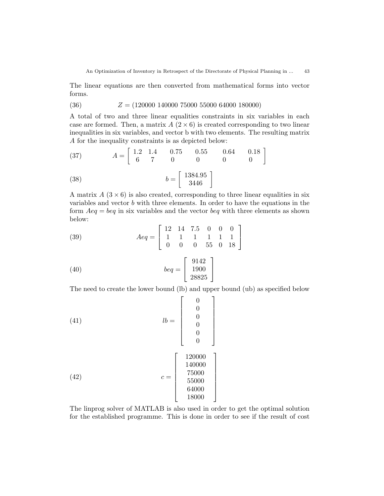The linear equations are then converted from mathematical forms into vector forms.

$$
(36) \t Z = (120000 \t 140000 \t 75000 \t 55000 \t 64000 \t 180000)
$$

A total of two and three linear equalities constraints in six variables in each case are formed. Then, a matrix  $A(2\times6)$  is created corresponding to two linear inequalities in six variables, and vector b with two elements. The resulting matrix A for the inequality constraints is as depicted below:

(37) 
$$
A = \begin{bmatrix} 1.2 & 1.4 & 0.75 & 0.55 & 0.64 & 0.18 \\ 6 & 7 & 0 & 0 & 0 & 0 \end{bmatrix}
$$

$$
(38)\qquad \qquad b = \left[\begin{array}{c} 1384.95\\3446 \end{array}\right]
$$

A matrix  $A(3\times6)$  is also created, corresponding to three linear equalities in six variables and vector b with three elements. In order to have the equations in the form  $Aeg = beq$  in six variables and the vector beq with three elements as shown below:

(39) 
$$
Aeq = \left[ \begin{array}{rrrrr} 12 & 14 & 7.5 & 0 & 0 & 0 \\ 1 & 1 & 1 & 1 & 1 & 1 \\ 0 & 0 & 0 & 55 & 0 & 18 \end{array} \right]
$$

$$
(40) \t beq = \begin{bmatrix} 9142 \\ 1900 \\ 28825 \end{bmatrix}
$$

The need to create the lower bound (lb) and upper bound (ub) as specified below

(41)  
\n
$$
lb = \begin{bmatrix} 0 \\ 0 \\ 0 \\ 0 \\ 0 \\ 0 \end{bmatrix}
$$
\n(42)  
\n
$$
c = \begin{bmatrix} 120000 \\ 140000 \\ 75000 \\ 55000 \\ 64000 \\ 18000 \end{bmatrix}
$$

The linprog solver of MATLAB is also used in order to get the optimal solution for the established programme. This is done in order to see if the result of cost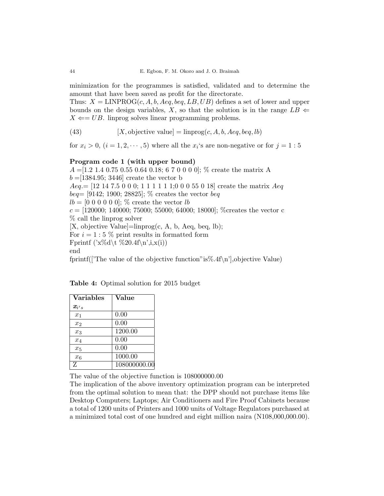minimization for the programmes is satisfied, validated and to determine the amount that have been saved as profit for the directorate.

Thus:  $X = \text{LINPROG}(c, A, b, Aeg, beq, LB, UB)$  defines a set of lower and upper bounds on the design variables, X, so that the solution is in the range  $LB \Leftarrow$  $X \leftarrow UB$ . linprog solves linear programming problems.

(43) 
$$
[X, \text{objective value}] = \text{linprog}(c, A, b, Aeq, beq, lb)
$$

for  $x_i > 0$ ,  $(i = 1, 2, \dots, 5)$  where all the  $x_i$ 's are non-negative or for  $j = 1: 5$ 

## Program code 1 (with upper bound)

 $A = [1.2 \ 1.4 \ 0.75 \ 0.55 \ 0.64 \ 0.18; 6 \ 7 \ 0 \ 0 \ 0 \ 0];$  % create the matrix A  $b = 1384.95$ ; 3446 create the vector b  $Aeq = [12 14 7.5 0 0 0; 1 1 1 1 1; 0 0 0 55 0 18]$  create the matrix  $Aeq$  $beq = [9142; 1900; 28825];$  % creates the vector  $beq$  $lb = [0 0 0 0 0 0]$ ; % create the vector lb  $c = [120000; 140000; 75000; 55000; 64000; 18000];$  % creates the vector c % call the linprog solver  $[X,$  objective Value $]=\text{linprog}(c, A, b, Aeq, beq, lb);$ For  $i = 1:5\%$  print results in formatted form Fprintf  $(\forall x\%d\forall t\%20.4f\in\mathbb{R}, i,x(i))$ end fprintf(['The value of the objective function"is%.4f\n'],objective Value)

| Table 4: Optimal solution for 2015 budget |  |  |  |
|-------------------------------------------|--|--|--|
|                                           |  |  |  |

| <b>Variables</b> | Value        |
|------------------|--------------|
| $\pmb{x}_{i's}$  |              |
| $x_1$            | 0.00         |
| x <sub>2</sub>   | 0.00         |
| $x_3$            | 1200.00      |
| $x_4$            | 0.00         |
| $x_5$            | 0.00         |
| $x_{6}$          | 1000.00      |
| 7.               | 108000000.00 |

The value of the objective function is 108000000.00

The implication of the above inventory optimization program can be interpreted from the optimal solution to mean that: the DPP should not purchase items like Desktop Computers; Laptops; Air Conditioners and Fire Proof Cabinets because a total of 1200 units of Printers and 1000 units of Voltage Regulators purchased at a minimized total cost of one hundred and eight million naira (N108,000,000.00).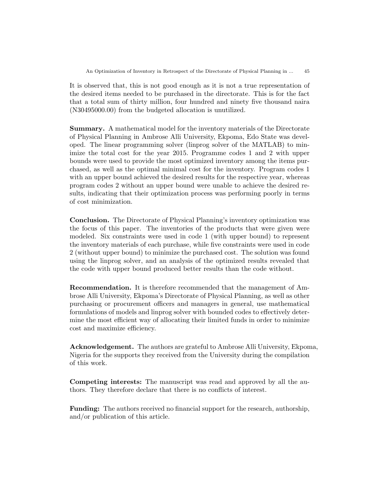It is observed that, this is not good enough as it is not a true representation of the desired items needed to be purchased in the directorate. This is for the fact that a total sum of thirty million, four hundred and ninety five thousand naira (N30495000.00) from the budgeted allocation is unutilized.

Summary. A mathematical model for the inventory materials of the Directorate of Physical Planning in Ambrose Alli University, Ekpoma, Edo State was developed. The linear programming solver (linprog solver of the MATLAB) to minimize the total cost for the year 2015. Programme codes 1 and 2 with upper bounds were used to provide the most optimized inventory among the items purchased, as well as the optimal minimal cost for the inventory. Program codes 1 with an upper bound achieved the desired results for the respective year, whereas program codes 2 without an upper bound were unable to achieve the desired results, indicating that their optimization process was performing poorly in terms of cost minimization.

Conclusion. The Directorate of Physical Planning's inventory optimization was the focus of this paper. The inventories of the products that were given were modeled. Six constraints were used in code 1 (with upper bound) to represent the inventory materials of each purchase, while five constraints were used in code 2 (without upper bound) to minimize the purchased cost. The solution was found using the linprog solver, and an analysis of the optimized results revealed that the code with upper bound produced better results than the code without.

Recommendation. It is therefore recommended that the management of Ambrose Alli University, Ekpoma's Directorate of Physical Planning, as well as other purchasing or procurement officers and managers in general, use mathematical formulations of models and linprog solver with bounded codes to effectively determine the most efficient way of allocating their limited funds in order to minimize cost and maximize efficiency.

Acknowledgement. The authors are grateful to Ambrose Alli University, Ekpoma, Nigeria for the supports they received from the University during the compilation of this work.

Competing interests: The manuscript was read and approved by all the authors. They therefore declare that there is no conflicts of interest.

Funding: The authors received no financial support for the research, authorship, and/or publication of this article.